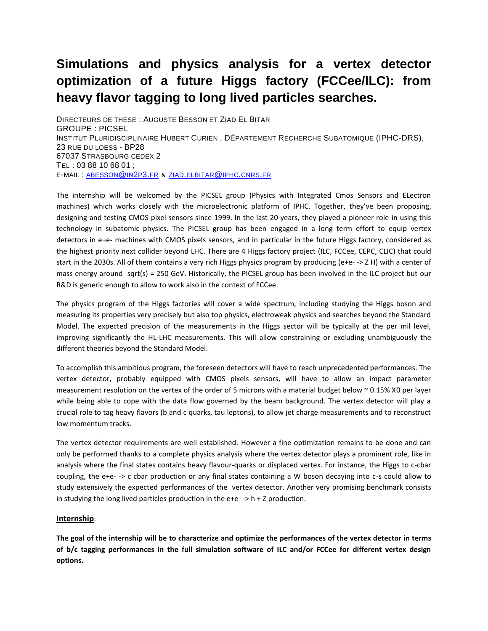## **Simulations and physics analysis for a vertex detector optimization of a future Higgs factory (FCCee/ILC): from heavy flavor tagging to long lived particles searches.**

DIRECTEURS DE THESE : AUGUSTE BESSON ET ZIAD EL BITAR GROUPE : PICSEL INSTITUT PLURIDISCIPLINAIRE HUBERT CURIEN, DÉPARTEMENT RECHERCHE SUBATOMIQUE (IPHC-DRS), 23 RUE DU LOESS - BP28 67037 STRASBOURG CEDEX 2 TEL : 03 88 10 68 01 ; E-MAIL : [ABESSON](mailto:abesson@in2p3.fr)@IN2P3.FR & ZIAD.[ELBITAR](mailto:ziad.elbitar@iphc.cnrs.fr)@IPHC.CNRS.FR

The internship will be welcomed by the PICSEL group (Physics with Integrated Cmos Sensors and ELectron machines) which works closely with the microelectronic platform of IPHC. Together, they've been proposing, designing and testing CMOS pixel sensors since 1999. In the last 20 years, they played a pioneer role in using this technology in subatomic physics. The PICSEL group has been engaged in a long term effort to equip vertex detectors in e+e- machines with CMOS pixels sensors, and in particular in the future Higgs factory, considered as the highest priority next collider beyond LHC. There are 4 Higgs factory project (ILC, FCCee, CEPC, CLIC) that could start in the 2030s. All of them contains a very rich Higgs physics program by producing (e+e- -> Z H) with a center of mass energy around sqrt(s) = 250 GeV. Historically, the PICSEL group has been involved in the ILC project but our R&D is generic enough to allow to work also in the context of FCCee.

The physics program of the Higgs factories will cover a wide spectrum, including studying the Higgs boson and measuring its properties very precisely but also top physics, electroweak physics and searches beyond the Standard Model. The expected precision of the measurements in the Higgs sector will be typically at the per mil level, improving significantly the HL-LHC measurements. This will allow constraining or excluding unambiguously the different theories beyond the Standard Model.

To accomplish this ambitious program, the foreseen detectors will have to reach unprecedented performances. The vertex detector, probably equipped with CMOS pixels sensors, will have to allow an impact parameter measurement resolution on the vertex of the order of 5 microns with a material budget below ~ 0.15% X0 per layer while being able to cope with the data flow governed by the beam background. The vertex detector will play a crucial role to tag heavy flavors (b and c quarks, tau leptons), to allow jet charge measurements and to reconstruct low momentum tracks.

The vertex detector requirements are well established. However a fine optimization remains to be done and can only be performed thanks to a complete physics analysis where the vertex detector plays a prominent role, like in analysis where the final states contains heavy flavour-quarks or displaced vertex. For instance, the Higgs to c-cbar coupling, the e+e- -> c cbar production or any final states containing a W boson decaying into c-s could allow to study extensively the expected performances of the vertex detector. Another very promising benchmark consists in studying the long lived particles production in the e+e- -> h + Z production.

## **Internship**:

**The goal of the internship will be to characterize and optimize the performances of the vertex detector in terms of b/c tagging performances in the full simulation software of ILC and/or FCCee for different vertex design options.**